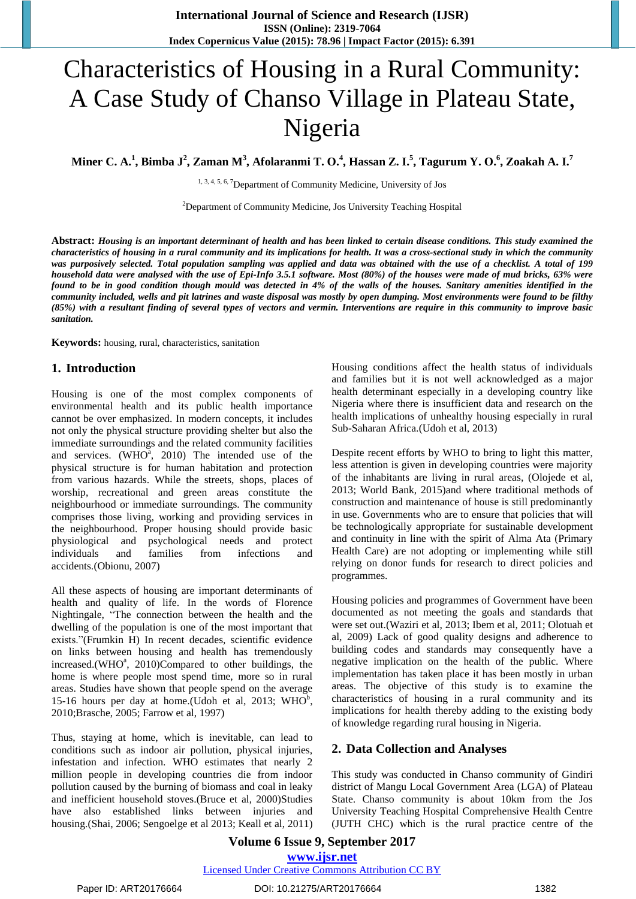# Characteristics of Housing in a Rural Community: A Case Study of Chanso Village in Plateau State, Nigeria

Miner C. A.<sup>1</sup>, Bimba J<sup>2</sup>, Zaman M<sup>3</sup>, Afolaranmi T. O.<sup>4</sup>, Hassan Z. I.<sup>5</sup>, Tagurum Y. O.<sup>6</sup>, Zoakah A. I.<sup>7</sup>

1, 3, 4, 5, 6, 7Department of Community Medicine, University of Jos

<sup>2</sup>Department of Community Medicine, Jos University Teaching Hospital

Abstract: Housing is an important determinant of health and has been linked to certain disease conditions. This study examined the characteristics of housing in a rural community and its implications for health. It was a cross-sectional study in which the community was purposively selected. Total population sampling was applied and data was obtained with the use of a checklist. A total of 199 household data were analysed with the use of Epi-Info 3.5.1 software. Most (80%) of the houses were made of mud bricks, 63% were found to be in good condition though mould was detected in 4% of the walls of the houses. Sanitary amenities identified in the community included, wells and pit latrines and waste disposal was mostly by open dumping. Most environments were found to be filthy (85%) with a resultant finding of several types of vectors and vermin. Interventions are require in this community to improve basic *sanitation.*

**Keywords:** housing, rural, characteristics, sanitation

#### **1. Introduction**

Housing is one of the most complex components of environmental health and its public health importance cannot be over emphasized. In modern concepts, it includes not only the physical structure providing shelter but also the immediate surroundings and the related community facilities and services.  $(WHO^a$ , 2010) The intended use of the physical structure is for human habitation and protection from various hazards. While the streets, shops, places of worship, recreational and green areas constitute the neighbourhood or immediate surroundings. The community comprises those living, working and providing services in the neighbourhood. Proper housing should provide basic physiological and psychological needs and protect individuals and families from infections and accidents.(Obionu, 2007)

All these aspects of housing are important determinants of health and quality of life. In the words of Florence Nightingale, "The connection between the health and the dwelling of the population is one of the most important that exists."(Frumkin H) In recent decades, scientific evidence on links between housing and health has tremendously increased.(WHO<sup>a</sup>, 2010)Compared to other buildings, the home is where people most spend time, more so in rural areas. Studies have shown that people spend on the average 15-16 hours per day at home. (Udoh et al, 2013; WHO<sup>b</sup>, 2010;Brasche, 2005; Farrow et al, 1997)

Thus, staying at home, which is inevitable, can lead to conditions such as indoor air pollution, physical injuries, infestation and infection. WHO estimates that nearly 2 million people in developing countries die from indoor pollution caused by the burning of biomass and coal in leaky and inefficient household stoves.(Bruce et al, 2000)Studies have also established links between injuries and housing.(Shai, 2006; Sengoelge et al 2013; Keall et al, 2011) Housing conditions affect the health status of individuals and families but it is not well acknowledged as a major health determinant especially in a developing country like Nigeria where there is insufficient data and research on the health implications of unhealthy housing especially in rural Sub-Saharan Africa.(Udoh et al, 2013)

Despite recent efforts by WHO to bring to light this matter, less attention is given in developing countries were majority of the inhabitants are living in rural areas, (Olojede et al, 2013; World Bank, 2015)and where traditional methods of construction and maintenance of house is still predominantly in use. Governments who are to ensure that policies that will be technologically appropriate for sustainable development and continuity in line with the spirit of Alma Ata (Primary Health Care) are not adopting or implementing while still relying on donor funds for research to direct policies and programmes.

Housing policies and programmes of Government have been documented as not meeting the goals and standards that were set out.(Waziri et al, 2013; Ibem et al, 2011; Olotuah et al, 2009) Lack of good quality designs and adherence to building codes and standards may consequently have a negative implication on the health of the public. Where implementation has taken place it has been mostly in urban areas. The objective of this study is to examine the characteristics of housing in a rural community and its implications for health thereby adding to the existing body of knowledge regarding rural housing in Nigeria.

## **2. Data Collection and Analyses**

This study was conducted in Chanso community of Gindiri district of Mangu Local Government Area (LGA) of Plateau State. Chanso community is about 10km from the Jos University Teaching Hospital Comprehensive Health Centre (JUTH CHC) which is the rural practice centre of the

#### **Volume 6 Issue 9, September 2017 <www.ijsr.net>** [Licensed Under Creative Commons Attribution CC BY](http://creativecommons.org/licenses/by/4.0/)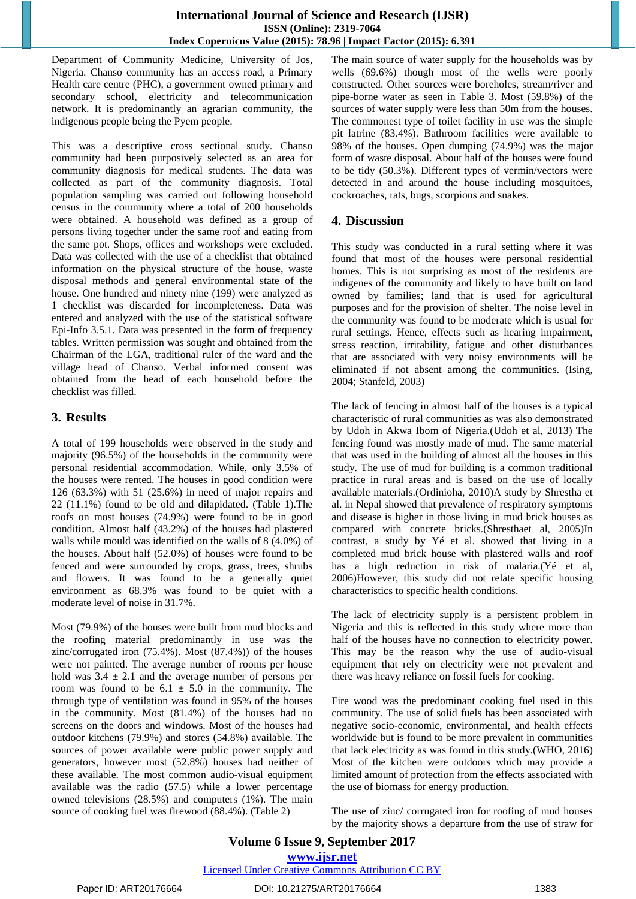Department of Community Medicine, University of Jos, Nigeria. Chanso community has an access road, a Primary Health care centre (PHC), a government owned primary and secondary school, electricity and telecommunication network. It is predominantly an agrarian community, the indigenous people being the Pyem people.

This was a descriptive cross sectional study. Chanso community had been purposively selected as an area for community diagnosis for medical students. The data was collected as part of the community diagnosis. Total population sampling was carried out following household census in the community where a total of 200 households were obtained. A household was defined as a group of persons living together under the same roof and eating from the same pot. Shops, offices and workshops were excluded. Data was collected with the use of a checklist that obtained information on the physical structure of the house, waste disposal methods and general environmental state of the house. One hundred and ninety nine (199) were analyzed as 1 checklist was discarded for incompleteness. Data was entered and analyzed with the use of the statistical software Epi-Info 3.5.1. Data was presented in the form of frequency tables. Written permission was sought and obtained from the Chairman of the LGA, traditional ruler of the ward and the village head of Chanso. Verbal informed consent was obtained from the head of each household before the checklist was filled.

## **3. Results**

A total of 199 households were observed in the study and majority (96.5%) of the households in the community were personal residential accommodation. While, only 3.5% of the houses were rented. The houses in good condition were 126 (63.3%) with 51 (25.6%) in need of major repairs and 22 (11.1%) found to be old and dilapidated. (Table 1).The roofs on most houses (74.9%) were found to be in good condition. Almost half (43.2%) of the houses had plastered walls while mould was identified on the walls of 8 (4.0%) of the houses. About half (52.0%) of houses were found to be fenced and were surrounded by crops, grass, trees, shrubs and flowers. It was found to be a generally quiet environment as 68.3% was found to be quiet with a moderate level of noise in 31.7%.

Most (79.9%) of the houses were built from mud blocks and the roofing material predominantly in use was the zinc/corrugated iron (75.4%). Most (87.4%)) of the houses were not painted. The average number of rooms per house hold was  $3.4 \pm 2.1$  and the average number of persons per room was found to be  $6.1 \pm 5.0$  in the community. The through type of ventilation was found in 95% of the houses in the community. Most (81.4%) of the houses had no screens on the doors and windows. Most of the houses had outdoor kitchens (79.9%) and stores (54.8%) available. The sources of power available were public power supply and generators, however most (52.8%) houses had neither of these available. The most common audio-visual equipment available was the radio (57.5) while a lower percentage owned televisions (28.5%) and computers (1%). The main source of cooking fuel was firewood (88.4%). (Table 2)

The main source of water supply for the households was by wells (69.6%) though most of the wells were poorly constructed. Other sources were boreholes, stream/river and pipe-borne water as seen in Table 3. Most (59.8%) of the sources of water supply were less than 50m from the houses. The commonest type of toilet facility in use was the simple pit latrine (83.4%). Bathroom facilities were available to 98% of the houses. Open dumping (74.9%) was the major form of waste disposal. About half of the houses were found to be tidy (50.3%). Different types of vermin/vectors were detected in and around the house including mosquitoes, cockroaches, rats, bugs, scorpions and snakes.

## **4. Discussion**

This study was conducted in a rural setting where it was found that most of the houses were personal residential homes. This is not surprising as most of the residents are indigenes of the community and likely to have built on land owned by families; land that is used for agricultural purposes and for the provision of shelter. The noise level in the community was found to be moderate which is usual for rural settings. Hence, effects such as hearing impairment, stress reaction, irritability, fatigue and other disturbances that are associated with very noisy environments will be eliminated if not absent among the communities. (Ising, 2004; Stanfeld, 2003)

The lack of fencing in almost half of the houses is a typical characteristic of rural communities as was also demonstrated by Udoh in Akwa Ibom of Nigeria.(Udoh et al, 2013) The fencing found was mostly made of mud. The same material that was used in the building of almost all the houses in this study. The use of mud for building is a common traditional practice in rural areas and is based on the use of locally available materials.(Ordinioha, 2010)A study by Shrestha et al. in Nepal showed that prevalence of respiratory symptoms and disease is higher in those living in mud brick houses as compared with concrete bricks.(Shresthaet al, 2005)In contrast, a study by Yé et al. showed that living in a completed mud brick house with plastered walls and roof has a high reduction in risk of malaria.(Yé et al, 2006)However, this study did not relate specific housing characteristics to specific health conditions.

The lack of electricity supply is a persistent problem in Nigeria and this is reflected in this study where more than half of the houses have no connection to electricity power. This may be the reason why the use of audio-visual equipment that rely on electricity were not prevalent and there was heavy reliance on fossil fuels for cooking.

Fire wood was the predominant cooking fuel used in this community. The use of solid fuels has been associated with negative socio-economic, environmental, and health effects worldwide but is found to be more prevalent in communities that lack electricity as was found in this study.(WHO, 2016) Most of the kitchen were outdoors which may provide a limited amount of protection from the effects associated with the use of biomass for energy production.

The use of zinc/ corrugated iron for roofing of mud houses by the majority shows a departure from the use of straw for

## **Volume 6 Issue 9, September 2017 <www.ijsr.net>** [Licensed Under Creative Commons Attribution CC BY](http://creativecommons.org/licenses/by/4.0/)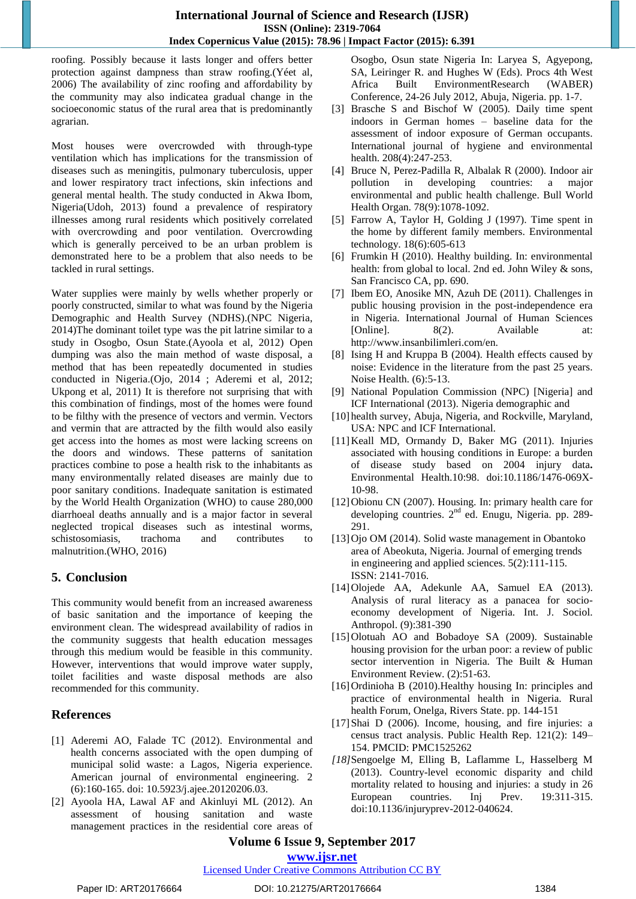roofing. Possibly because it lasts longer and offers better protection against dampness than straw roofing.(Yéet al, 2006) The availability of zinc roofing and affordability by the community may also indicatea gradual change in the socioeconomic status of the rural area that is predominantly agrarian.

Most houses were overcrowded with through-type ventilation which has implications for the transmission of diseases such as meningitis, pulmonary tuberculosis, upper and lower respiratory tract infections, skin infections and general mental health. The study conducted in Akwa Ibom, Nigeria(Udoh, 2013) found a prevalence of respiratory illnesses among rural residents which positively correlated with overcrowding and poor ventilation. Overcrowding which is generally perceived to be an urban problem is demonstrated here to be a problem that also needs to be tackled in rural settings.

Water supplies were mainly by wells whether properly or poorly constructed, similar to what was found by the Nigeria Demographic and Health Survey (NDHS).(NPC Nigeria, 2014)The dominant toilet type was the pit latrine similar to a study in Osogbo, Osun State.(Ayoola et al, 2012) Open dumping was also the main method of waste disposal, a method that has been repeatedly documented in studies conducted in Nigeria.(Ojo, 2014 ; Aderemi et al, 2012; Ukpong et al, 2011) It is therefore not surprising that with this combination of findings, most of the homes were found to be filthy with the presence of vectors and vermin. Vectors and vermin that are attracted by the filth would also easily get access into the homes as most were lacking screens on the doors and windows. These patterns of sanitation practices combine to pose a health risk to the inhabitants as many environmentally related diseases are mainly due to poor sanitary conditions. Inadequate sanitation is estimated by the World Health Organization (WHO) to cause 280,000 diarrhoeal deaths annually and is a major factor in several neglected tropical diseases such as intestinal worms, schistosomiasis, trachoma and contributes to malnutrition.(WHO, 2016)

## **5. Conclusion**

This community would benefit from an increased awareness of basic sanitation and the importance of keeping the environment clean. The widespread availability of radios in the community suggests that health education messages through this medium would be feasible in this community. However, interventions that would improve water supply, toilet facilities and waste disposal methods are also recommended for this community.

## **References**

- [1] Aderemi AO, Falade TC (2012). Environmental and health concerns associated with the open dumping of municipal solid waste: a Lagos, Nigeria experience. American journal of environmental engineering. 2 (6):160-165. doi: 10.5923/j.ajee.20120206.03.
- [2] Ayoola HA, Lawal AF and Akinluyi ML (2012). An assessment of housing sanitation and waste management practices in the residential core areas of

Osogbo, Osun state Nigeria In: Laryea S, Agyepong, SA, Leiringer R. and Hughes W (Eds). Procs 4th West Africa Built EnvironmentResearch (WABER) Conference, 24-26 July 2012, Abuja, Nigeria. pp. 1-7.

- [3] Brasche S and Bischof W (2005). Daily time spent indoors in German homes – baseline data for the assessment of indoor exposure of German occupants. International journal of hygiene and environmental health. 208(4):247-253.
- [4] Bruce N, Perez-Padilla R, Albalak R (2000). Indoor air pollution in developing countries: a major environmental and public health challenge. Bull World Health Organ. 78(9):1078-1092.
- [5] Farrow A, Taylor H, Golding J (1997). Time spent in the home by different family members. Environmental technology. 18(6):605-613
- [6] Frumkin H (2010). Healthy building. In: environmental health: from global to local. 2nd ed. John Wiley & sons, San Francisco CA, pp. 690.
- [7] Ibem EO, Anosike MN, Azuh DE (2011). Challenges in public housing provision in the post-independence era in Nigeria. International Journal of Human Sciences [Online]. 8(2). Available at: http://www.insanbilimleri.com/en.
- [8] Ising H and Kruppa B (2004). Health effects caused by noise: Evidence in the literature from the past 25 years. Noise Health. (6):5-13.
- [9] National Population Commission (NPC) [Nigeria] and ICF International (2013). Nigeria demographic and
- [10] health survey, Abuja, Nigeria, and Rockville, Maryland, USA: NPC and ICF International.
- [11]Keall MD, Ormandy D, Baker MG (2011). Injuries associated with housing conditions in Europe: a burden of disease study based on 2004 injury data**.** Environmental Health.10:98. doi:10.1186/1476-069X-10-98.
- [12]Obionu CN (2007). Housing. In: primary health care for developing countries. 2<sup>nd</sup> ed. Enugu, Nigeria. pp. 289-291.
- [13]Ojo OM (2014). Solid waste management in Obantoko area of Abeokuta, Nigeria. Journal of emerging trends in engineering and applied sciences. 5(2):111-115. ISSN: 2141-7016.
- [14]Olojede AA, Adekunle AA, Samuel EA (2013). Analysis of rural literacy as a panacea for socioeconomy development of Nigeria. Int. J. Sociol. Anthropol. (9):381-390
- [15]Olotuah AO and Bobadoye SA (2009). Sustainable housing provision for the urban poor: a review of public sector intervention in Nigeria. The Built & Human Environment Review. (2):51-63.
- [16]Ordinioha B (2010).Healthy housing In: principles and practice of environmental health in Nigeria. Rural health Forum, Onelga, Rivers State. pp. 144-151
- [17]Shai D (2006). Income, housing, and fire injuries: a census tract analysis. Public Health Rep. 121(2): 149– 154. PMCID: PMC1525262
- *[18]*Sengoelge M, Elling B, Laflamme L, Hasselberg M (2013). Country-level economic disparity and child mortality related to housing and injuries: a study in 26 European countries. Inj Prev. 19:311-315. doi:10.1136/injuryprev-2012-040624.

# **Volume 6 Issue 9, September 2017**

**<www.ijsr.net>**

#### [Licensed Under Creative Commons Attribution CC BY](http://creativecommons.org/licenses/by/4.0/)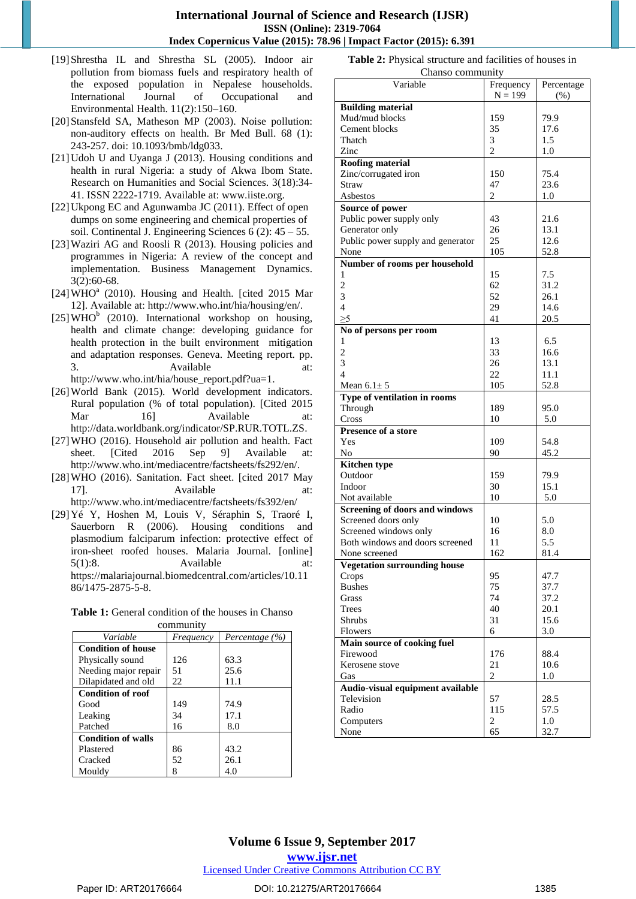#### **International Journal of Science and Research (IJSR) ISSN (Online): 2319-7064 Index Copernicus Value (2015): 78.96 | Impact Factor (2015): 6.391**

- [19]Shrestha IL and Shrestha SL (2005). Indoor air pollution from biomass fuels and respiratory health of the exposed population in Nepalese households. International Journal of Occupational and Environmental Health. 11(2):150–160.
- [20] Stansfeld SA, Matheson MP (2003). Noise pollution: non-auditory effects on health. Br Med Bull. 68 (1): 243-257. doi: 10.1093/bmb/ldg033.
- [21] Udoh U and Uyanga J (2013). Housing conditions and health in rural Nigeria: a study of Akwa Ibom State. Research on Humanities and Social Sciences. 3(18):34- 41. ISSN 2222-1719. Available at: www.iiste.org.
- [22] Ukpong EC and Agunwamba JC (2011). Effect of open dumps on some engineering and chemical properties of soil. Continental J. Engineering Sciences 6 (2): 45 – 55.
- [23] Waziri AG and Roosli R (2013). Housing policies and programmes in Nigeria: A review of the concept and implementation. Business Management Dynamics. 3(2):60-68.
- $[24]$ WHO $^a$  (2010). Housing and Health. [cited 2015 Mar 12]. Available at: [http://www.who.int/hia/housing/en/.](http://www.who.int/hia/housing/en/)
- [25] WHO<sup>b</sup> (2010). International workshop on housing, health and climate change: developing guidance for health protection in the built environment mitigation and adaptation responses. Geneva. Meeting report. pp. 3. Available at: [http://www.who.int/hia/house\\_report.pdf?ua=1.](http://www.who.int/hia/house_report.pdf?ua=1)
- [26] World Bank (2015). World development indicators. Rural population (% of total population). [Cited 2015 Mar 16] Available at: [http://data.worldbank.org/indicator/SP.RUR.TOTL.ZS.](http://data.worldbank.org/indicator/SP.RUR.TOTL.ZS)
- [27]WHO (2016). Household air pollution and health. Fact sheet. [Cited 2016 Sep 9] Available at: [http://www.who.int/mediacentre/factsheets/fs292/en/.](http://www.who.int/mediacentre/factsheets/fs292/en/)
- [28]WHO (2016). Sanitation. Fact sheet. [cited 2017 May 17]. Available at: http://www.who.int/mediacentre/factsheets/fs392/en/
- [29]Yé Y, Hoshen M, Louis V, Séraphin S, Traoré I, Sauerborn R (2006). Housing conditions and plasmodium falciparum infection: protective effect of iron-sheet roofed houses. Malaria Journal. [online] 5(1):8. Available at: [https://malariajournal.biomedcentral.com/articles/10.11](https://malariajournal.biomedcentral.com/articles/10.1186/1475-2875-5-8) [86/1475-2875-5-8.](https://malariajournal.biomedcentral.com/articles/10.1186/1475-2875-5-8)

| community                 |           |                |  |  |  |  |
|---------------------------|-----------|----------------|--|--|--|--|
| Variable                  | Frequency | Percentage (%) |  |  |  |  |
| <b>Condition of house</b> |           |                |  |  |  |  |
| Physically sound          | 126       | 63.3           |  |  |  |  |
| Needing major repair      | 51        | 25.6           |  |  |  |  |
| Dilapidated and old       | 22        | 11.1           |  |  |  |  |
| <b>Condition of roof</b>  |           |                |  |  |  |  |
| Good                      | 149       | 74.9           |  |  |  |  |
| Leaking                   | 34        | 17.1           |  |  |  |  |
| Patched                   | 16        | 8.0            |  |  |  |  |
| <b>Condition of walls</b> |           |                |  |  |  |  |
| Plastered                 | 86        | 43.2           |  |  |  |  |
| Cracked                   | 52        | 26.1           |  |  |  |  |
| Mouldy                    |           | 4.0            |  |  |  |  |

**Table 1:** General condition of the houses in Chanso

|  |  | Table 2: Physical structure and facilities of houses in |  |  |  |  |
|--|--|---------------------------------------------------------|--|--|--|--|
|  |  |                                                         |  |  |  |  |

| Chanso community                      |                |            |
|---------------------------------------|----------------|------------|
| Variable                              | Frequency      | Percentage |
|                                       | $N = 199$      | (% )       |
| <b>Building material</b>              |                |            |
| Mud/mud blocks                        | 159            | 79.9       |
| Cement blocks                         | 35             | 17.6       |
|                                       |                |            |
| Thatch                                | 3              | 1.5        |
| Zinc                                  | $\overline{c}$ | 1.0        |
| <b>Roofing material</b>               |                |            |
| Zinc/corrugated iron                  | 150            | 75.4       |
| <b>Straw</b>                          | 47             | 23.6       |
| Asbestos                              | 2              | 1.0        |
| Source of power                       |                |            |
| Public power supply only              | 43             | 21.6       |
|                                       | 26             | 13.1       |
| Generator only                        |                |            |
| Public power supply and generator     | 25             | 12.6       |
| None                                  | 105            | 52.8       |
| Number of rooms per household         |                |            |
| 1                                     | 15             | 7.5        |
| $\overline{c}$                        | 62             | 31.2       |
| 3                                     | 52             | 26.1       |
| $\overline{4}$                        | 29             | 14.6       |
| $\geq 5$                              | 41             | 20.5       |
|                                       |                |            |
| No of persons per room                |                |            |
| 1                                     | 13             | 6.5        |
| $\overline{2}$                        | 33             | 16.6       |
| 3                                     | 26             | 13.1       |
| $\overline{4}$                        | 22             | 11.1       |
| Mean $6.1 \pm 5$                      | 105            | 52.8       |
| Type of ventilation in rooms          |                |            |
| Through                               | 189            | 95.0       |
| Cross                                 | 10             | 5.0        |
|                                       |                |            |
| Presence of a store                   |                |            |
| Yes                                   | 109            | 54.8       |
| No                                    | 90             | 45.2       |
| <b>Kitchen type</b>                   |                |            |
| Outdoor                               | 159            | 79.9       |
| Indoor                                | 30             | 15.1       |
| Not available                         | 10             | 5.0        |
| <b>Screening of doors and windows</b> |                |            |
|                                       |                |            |
| Screened doors only                   | 10             | 5.0        |
| Screened windows only                 | 16             | 8.0        |
| Both windows and doors screened       | 11             | 5.5        |
| None screened                         | 162            | 81.4       |
| <b>Vegetation surrounding house</b>   |                |            |
| Crops                                 | 95             | 47.7       |
| <b>Bushes</b>                         | 75             | 37.7       |
| Grass                                 | 74             | 37.2       |
| <b>Trees</b>                          | 40             | 20.1       |
|                                       |                |            |
| Shrubs                                | 31             | 15.6       |
| Flowers                               | 6              | 3.0        |
| Main source of cooking fuel           |                |            |
| Firewood                              | 176            | 88.4       |
| Kerosene stove                        | 21             | 10.6       |
| Gas                                   | 2              | 1.0        |
| Audio-visual equipment available      |                |            |
|                                       | 57             |            |
| Television                            |                | 28.5       |
| Radio                                 | 115            | 57.5       |
| Computers                             | 2              | 1.0        |
| None                                  | 65             | 32.7       |

# **Volume 6 Issue 9, September 2017**

**<www.ijsr.net>**

[Licensed Under Creative Commons Attribution CC BY](http://creativecommons.org/licenses/by/4.0/)

#### Paper ID: ART20176664 **DOI: 10.21275/ART20176664** 1385